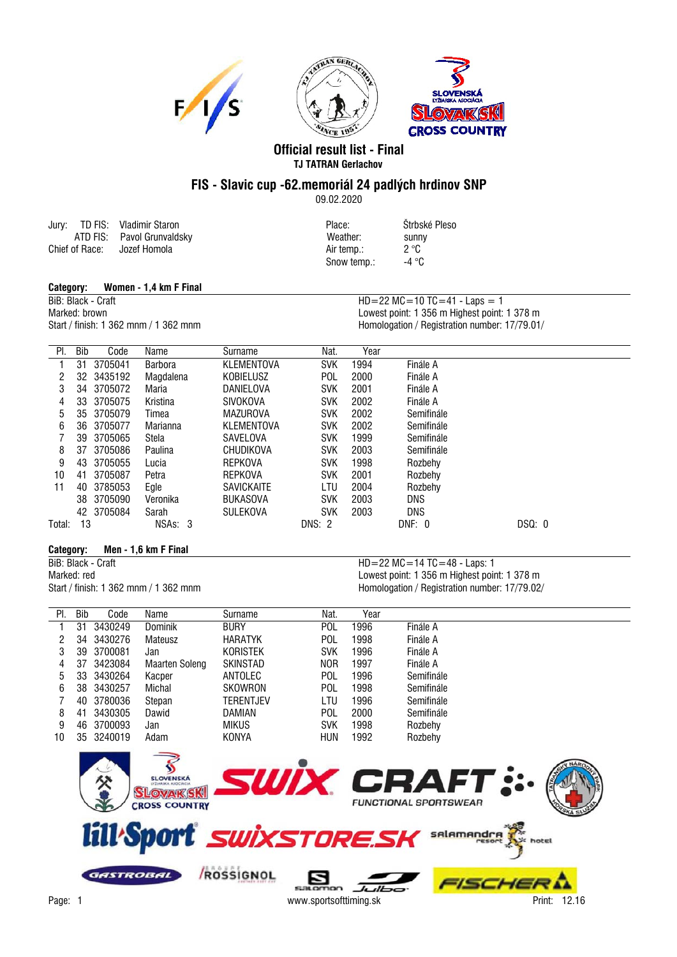

## **Official result list - Final TJ TATRAN Gerlachov**

## **FIS - Slavic cup -62.memoriál 24 padlých hrdinov SNP**

09.02.2020

|                | Jury: TD FIS: Vladimir Staron | Place:     | Štrbsk       |
|----------------|-------------------------------|------------|--------------|
|                | ATD FIS: Pavol Grunvaldsky    | Weather:   | sunny        |
| Chief of Race: | Jozef Homola                  | Air temp.: | $2^{\circ}C$ |

Place: Štrbské Pleso Snow temp.: -4 °C

## **Category: Women - 1,4 km F Final**

BiB: Black - Craft HD=22 MC=10 TC=41 - Laps = 1

Marked: brown Marked: brown Lowest point: 1 356 m Highest point: 1 378 m<br>Start / finish: 1 362 mnm / 1 362 mnm (1 362 mnm ) and the Homologation / Registration number: 17/79.01, Homologation / Registration number: 17/79.01/

| PI.    | Bib | Code       | Name           | Surname           | Nat.       | Year |            |        |
|--------|-----|------------|----------------|-------------------|------------|------|------------|--------|
|        | 31  | 3705041    | <b>Barbora</b> | KLEMENTOVA        | <b>SVK</b> | 1994 | Finále A   |        |
| 2      | 32  | 3435192    | Magdalena      | <b>KOBIELUSZ</b>  | <b>POL</b> | 2000 | Finále A   |        |
| 3      | 34  | 3705072    | Maria          | DANIELOVA         | <b>SVK</b> | 2001 | Finále A   |        |
| 4      | 33  | 3705075    | Kristina       | <b>SIVOKOVA</b>   | <b>SVK</b> | 2002 | Finále A   |        |
| 5      | 35  | 3705079    | Timea          | <b>MAZUROVA</b>   | <b>SVK</b> | 2002 | Semifinále |        |
| 6      | 36  | 3705077    | Marianna       | KLEMENTOVA        | <b>SVK</b> | 2002 | Semifinále |        |
|        | 39  | 3705065    | Stela          | SAVELOVA          | <b>SVK</b> | 1999 | Semifinále |        |
| 8      | 37  | 3705086    | Paulina        | CHUDIKOVA         | <b>SVK</b> | 2003 | Semifinále |        |
| 9      | 43  | 3705055    | Lucia          | <b>REPKOVA</b>    | <b>SVK</b> | 1998 | Rozbehy    |        |
| 10     | 41  | 3705087    | Petra          | <b>REPKOVA</b>    | <b>SVK</b> | 2001 | Rozbehy    |        |
| 11     | 40  | 3785053    | Egle           | <b>SAVICKAITE</b> | LTU        | 2004 | Rozbehy    |        |
|        | 38  | 3705090    | Veronika       | <b>BUKASOVA</b>   | <b>SVK</b> | 2003 | <b>DNS</b> |        |
|        |     | 42 3705084 | Sarah          | <b>SULEKOVA</b>   | <b>SVK</b> | 2003 | <b>DNS</b> |        |
| Total: | 13  |            | NSAs: 3        |                   | DNS: 2     |      | DNF: 0     | DSQ: 0 |

**Category: Men - 1,6 km F Final**

 $HD = 22 MC = 14 TC = 48 - Laps: 1$ Marked: red<br>
Start / finish: 1 362 mnm / 1 362 mnm <br>
Homologation / Registration number: 17/79.02 Homologation / Registration number: 17/79.02/

| PI. | <b>Bib</b> | Code       | Name           | Surname         | Nat.       | Year |            |
|-----|------------|------------|----------------|-----------------|------------|------|------------|
|     | 31         | 3430249    | <b>Dominik</b> | <b>BURY</b>     | <b>POL</b> | 1996 | Finále A   |
| 2   | 34         | 3430276    | Mateusz        | <b>HARATYK</b>  | <b>POL</b> | 1998 | Finále A   |
| 3   | 39         | 3700081    | Jan            | <b>KORISTEK</b> | <b>SVK</b> | 1996 | Finále A   |
| 4   | 37         | 3423084    | Maarten Soleng | <b>SKINSTAD</b> | <b>NOR</b> | 1997 | Finále A   |
| 5   |            | 33 3430264 | Kacper         | ANTOLEC         | <b>POL</b> | 1996 | Semifinále |
| 6   | 38         | 3430257    | Michal         | SKOWRON         | <b>POL</b> | 1998 | Semifinále |
|     | 40         | 3780036    | Stepan         | TERENTJEV       | LTU        | 1996 | Semifinále |
| 8   | 41         | 3430305    | Dawid          | DAMIAN          | POL.       | 2000 | Semifinále |
| 9   | 46         | 3700093    | Jan            | <b>MIKUS</b>    | <b>SVK</b> | 1998 | Rozbehy    |
| 10  |            | 35 3240019 | Adam           | KONYA           | <b>HUN</b> | 1992 | Rozbehy    |
|     |            |            |                |                 |            |      |            |